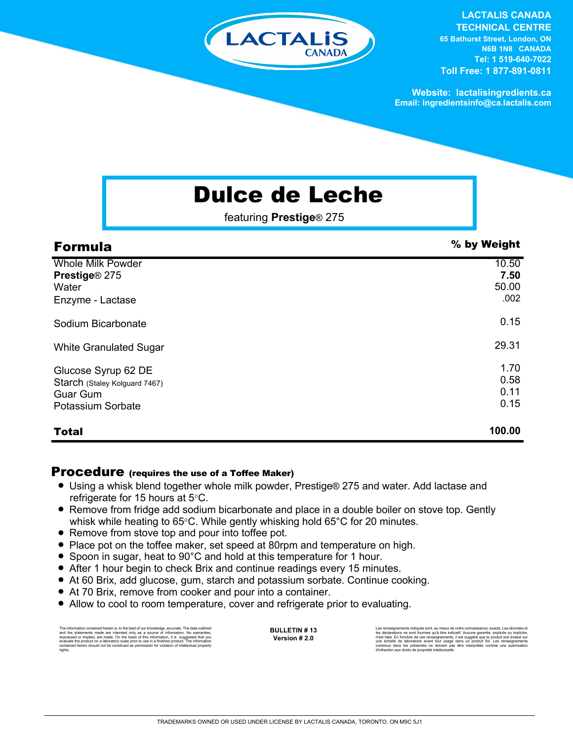

**LACTALIS CANADA TECHNICAL CENTRE 65 Bathurst Street, London, ON N6B 1N8 CANADA Tel: 1 519-640-7022 Toll Free: 1 877-891-0811**

**Website: lactalisingredients.ca Email: ingredientsinfo@ca.lactalis.com**

## Dulce de Leche

featuring **Prestige**® 275

| <b>Formula</b>                                                                               | % by Weight                    |
|----------------------------------------------------------------------------------------------|--------------------------------|
| <b>Whole Milk Powder</b><br>Prestige® 275<br>Water<br>Enzyme - Lactase                       | 10.50<br>7.50<br>50.00<br>.002 |
| Sodium Bicarbonate                                                                           | 0.15                           |
| <b>White Granulated Sugar</b>                                                                | 29.31                          |
| Glucose Syrup 62 DE<br>Starch (Staley Kolguard 7467)<br><b>Guar Gum</b><br>Potassium Sorbate | 1.70<br>0.58<br>0.11<br>0.15   |
| <b>Total</b>                                                                                 | 100.00                         |

## Procedure (requires the use of a Toffee Maker)

- Using a whisk blend together whole milk powder, Prestige® 275 and water. Add lactase and refrigerate for 15 hours at 5°C.
- Remove from fridge add sodium bicarbonate and place in a double boiler on stove top. Gently whisk while heating to 65°C. While gently whisking hold 65°C for 20 minutes.
- Remove from stove top and pour into toffee pot.
- Place pot on the toffee maker, set speed at 80rpm and temperature on high.
- Spoon in sugar, heat to 90°C and hold at this temperature for 1 hour.
- After 1 hour begin to check Brix and continue readings every 15 minutes.
- At 60 Brix, add glucose, gum, starch and potassium sorbate. Continue cooking.
- At 70 Brix, remove from cooker and pour into a container.
- Allow to cool to room temperature, cover and refrigerate prior to evaluating.

The information contained herein is, to the best of our knowledge, accurate. The data outlined<br>and the statements made are intended only as a a source of information. No warranties,<br>expressed or implied, are made. On the b rights.

**BULLETIN # 13 Version # 2.0**

Les renseignements indiqués sont, au mieux de notre connaissance, exacts. Les données et<br>les déclarations ne sont fournies qu'à titre indicatif. Aucune garantie, explicite ou implicite,<br>riest faite. En fonction de ces rens